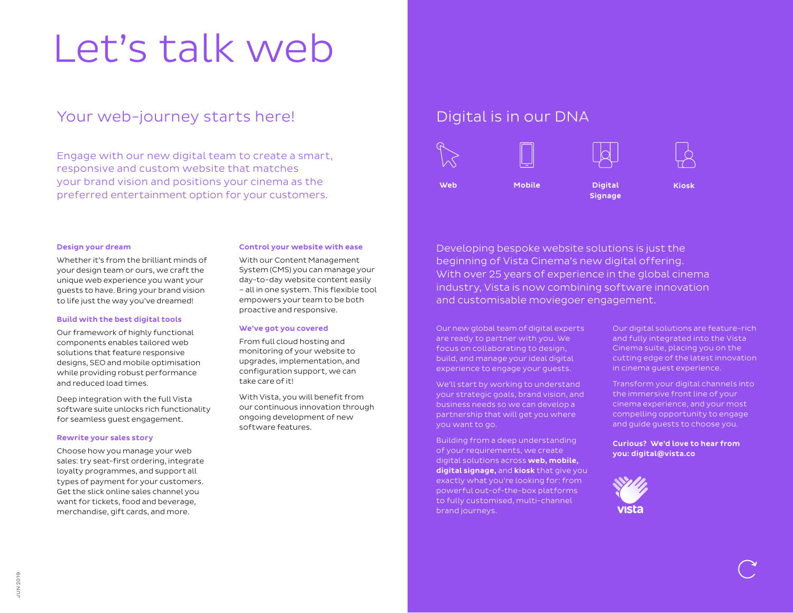# Let's talk web

## Your web-journey starts here!

Engage with our new digital team to create a smart, responsive and custom website that matches your brand vision and positions your cinema as the preferred entertainment option for your customers.

#### Design your dream

Whether it's from the brilliant minds of your design team or ours, we craft the unique web experience you want your guests to have. Bring your brand vision to life just the way you've dreamed!

#### Build with the best digital tools

Our framework of highly functional components enables tailored web solutions that feature responsive designs, SEO and mobile optimisation while providing robust performance and reduced load times.

Deep integration with the full Vista software suite unlocks rich functionality for seamless guest engagement.

#### Rewrite your sales story

Choose how you manage your web sales: try seat-first ordering, integrate loyalty programmes, and support all types of payment for your customers. Get the slick online sales channel you want for tickets, food and beverage, merchandise, gift cards, and more.

#### Control your website with ease

With our Content Management System (CMS) you can manage your day-to-day website content easily – all in one system. This flexible tool empowers your team to be both proactive and responsive.

#### We've got you covered

From full cloud hosting and monitoring of your website to upgrades, implementation, and configuration support, we can take care of it!

With Vista, you will benefit from our continuous innovation through ongoing development of new software features.

### Digital is in our DNA



Developing bespoke website solutions is just the beginning of Vista Cinema's new digital offering. With over 25 years of experience in the global cinema industry, Vista is now combining software innovation and customisable moviegoer engagement.

Our new global team of digital experts are ready to partner with you. We focus on collaborating to design, build, and manage your ideal digital experience to engage your guests.

We'll start by working to understand your strategic goals, brand vision, and business needs so we can develop a partnership that will get you where you want to go.

Building from a deep understanding of your requirements, we create digital solutions across web, mobile, digital signage, and kiosk that give you exactly what you're looking for: from powerful out-of-the-box platforms to fully customised, multi-channel brand journeys.

Our digital solutions are feature-rich and fully integrated into the Vista Cinema suite, placing you on the cutting edge of the latest innovation in cinema guest experience.

Transform your digital channels into the immersive front line of your cinema experience, and your most compelling opportunity to engage and guide guests to choose you.

#### Curious? We'd love to hear from you: digital@vista.co